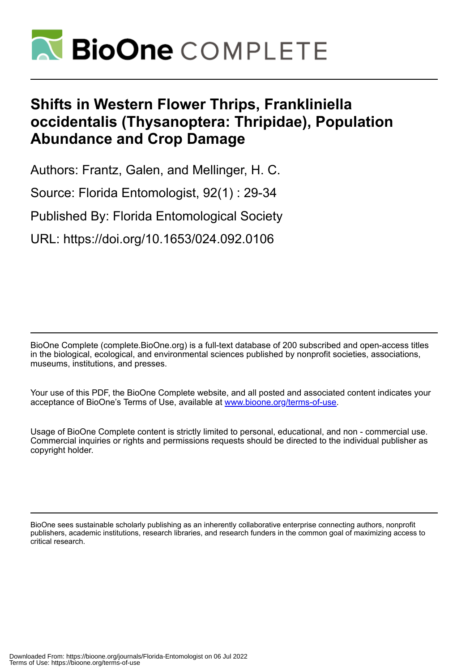

# **Shifts in Western Flower Thrips, Frankliniella occidentalis (Thysanoptera: Thripidae), Population Abundance and Crop Damage**

Authors: Frantz, Galen, and Mellinger, H. C.

Source: Florida Entomologist, 92(1) : 29-34

Published By: Florida Entomological Society

URL: https://doi.org/10.1653/024.092.0106

BioOne Complete (complete.BioOne.org) is a full-text database of 200 subscribed and open-access titles in the biological, ecological, and environmental sciences published by nonprofit societies, associations, museums, institutions, and presses.

Your use of this PDF, the BioOne Complete website, and all posted and associated content indicates your acceptance of BioOne's Terms of Use, available at www.bioone.org/terms-of-use.

Usage of BioOne Complete content is strictly limited to personal, educational, and non - commercial use. Commercial inquiries or rights and permissions requests should be directed to the individual publisher as copyright holder.

BioOne sees sustainable scholarly publishing as an inherently collaborative enterprise connecting authors, nonprofit publishers, academic institutions, research libraries, and research funders in the common goal of maximizing access to critical research.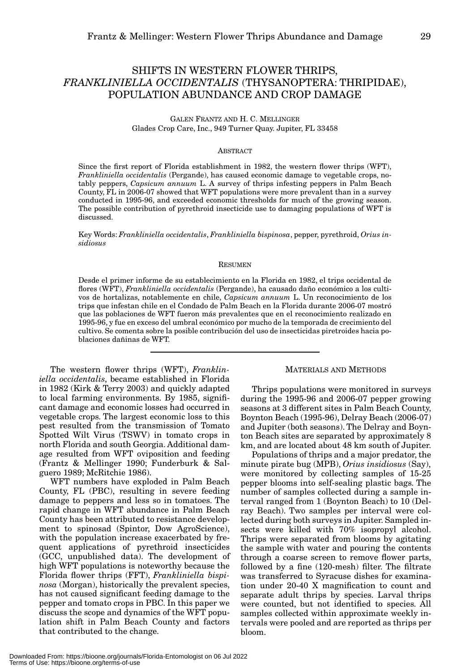## SHIFTS IN WESTERN FLOWER THRIPS, *FRANKLINIELLA OCCIDENTALIS* (THYSANOPTERA: THRIPIDAE), POPULATION ABUNDANCE AND CROP DAMAGE

GALEN FRANTZ AND H. C. MELLINGER Glades Crop Care, Inc., 949 Turner Quay. Jupiter, FL 33458

### ABSTRACT

Since the first report of Florida establishment in 1982, the western flower thrips (WFT), *Frankliniella occidentalis* (Pergande), has caused economic damage to vegetable crops, notably peppers, *Capsicum annuum* L. A survey of thrips infesting peppers in Palm Beach County, FL in 2006-07 showed that WFT populations were more prevalent than in a survey conducted in 1995-96, and exceeded economic thresholds for much of the growing season. The possible contribution of pyrethroid insecticide use to damaging populations of WFT is discussed.

Key Words: *Frankliniella occidentalis*, *Frankliniella bispinosa*, pepper, pyrethroid, *Orius insidiosus*

### RESUMEN

Desde el primer informe de su establecimiento en la Florida en 1982, el trips occidental de flores (WFT), *Frankliniella occidentalis* (Pergande), ha causado daño económico a los cultivos de hortalizas, notablemente en chile, *Capsicum annuum* L. Un reconocimiento de los trips que infestan chile en el Condado de Palm Beach en la Florida durante 2006-07 mostró que las poblaciones de WFT fueron más prevalentes que en el reconocimiento realizado en 1995-96, y fue en exceso del umbral económico por mucho de la temporada de crecimiento del cultivo. Se comenta sobre la posible contribución del uso de insecticidas piretroides hacia poblaciones dañinas de WFT.

The western flower thrips (WFT), *Frankliniella occidentalis*, became established in Florida in 1982 (Kirk & Terry 2003) and quickly adapted to local farming environments. By 1985, significant damage and economic losses had occurred in vegetable crops. The largest economic loss to this pest resulted from the transmission of Tomato Spotted Wilt Virus (TSWV) in tomato crops in north Florida and south Georgia. Additional damage resulted from WFT oviposition and feeding (Frantz & Mellinger 1990; Funderburk & Salguero 1989; McRitchie 1986).

WFT numbers have exploded in Palm Beach County, FL (PBC), resulting in severe feeding damage to peppers and less so in tomatoes. The rapid change in WFT abundance in Palm Beach County has been attributed to resistance development to spinosad (Spintor, Dow AgroScience), with the population increase exacerbated by frequent applications of pyrethroid insecticides (GCC, unpublished data). The development of high WFT populations is noteworthy because the Florida flower thrips (FFT), *Frankliniella bispinosa* (Morgan), historically the prevalent species, has not caused significant feeding damage to the pepper and tomato crops in PBC. In this paper we discuss the scope and dynamics of the WFT population shift in Palm Beach County and factors that contributed to the change.

#### MATERIALS AND METHODS

Thrips populations were monitored in surveys during the 1995-96 and 2006-07 pepper growing seasons at 3 different sites in Palm Beach County, Boynton Beach (1995-96), Delray Beach (2006-07) and Jupiter (both seasons). The Delray and Boynton Beach sites are separated by approximately 8 km, and are located about 48 km south of Jupiter.

Populations of thrips and a major predator, the minute pirate bug (MPB), *Orius insidiosus* (Say), were monitored by collecting samples of 15-25 pepper blooms into self-sealing plastic bags. The number of samples collected during a sample interval ranged from 1 (Boynton Beach) to 10 (Delray Beach). Two samples per interval were collected during both surveys in Jupiter. Sampled insects were killed with 70% isopropyl alcohol. Thrips were separated from blooms by agitating the sample with water and pouring the contents through a coarse screen to remove flower parts, followed by a fine (120-mesh) filter. The filtrate was transferred to Syracuse dishes for examination under 20-40 X magnification to count and separate adult thrips by species. Larval thrips were counted, but not identified to species. All samples collected within approximate weekly intervals were pooled and are reported as thrips per bloom.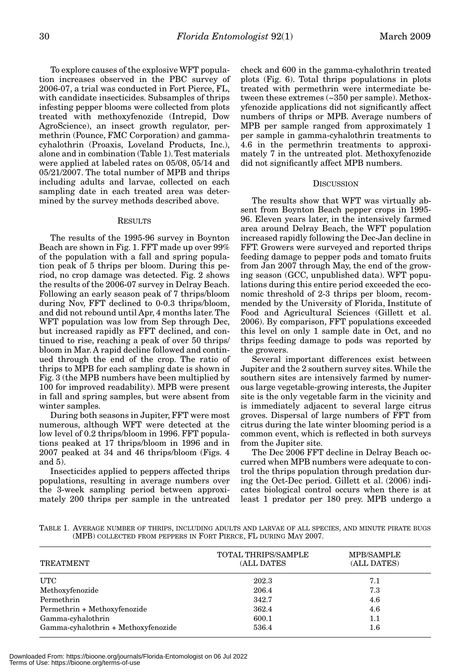To explore causes of the explosive WFT population increases observed in the PBC survey of 2006-07, a trial was conducted in Fort Pierce, FL, with candidate insecticides. Subsamples of thrips infesting pepper blooms were collected from plots treated with methoxyfenozide (Intrepid, Dow AgroScience), an insect growth regulator, permethrin (Pounce, FMC Corporation) and gammacyhalothrin (Proaxis, Loveland Products, Inc.), alone and in combination (Table 1). Test materials were applied at labeled rates on 05/08, 05/14 and 05/21/2007. The total number of MPB and thrips including adults and larvae, collected on each sampling date in each treated area was determined by the survey methods described above.

#### RESULTS

The results of the 1995-96 survey in Boynton Beach are shown in Fig. 1. FFT made up over 99% of the population with a fall and spring population peak of 5 thrips per bloom. During this period, no crop damage was detected. Fig. 2 shows the results of the 2006-07 survey in Delray Beach. Following an early season peak of 7 thrips/bloom during Nov, FFT declined to 0-0.3 thrips/bloom, and did not rebound until Apr, 4 months later. The WFT population was low from Sep through Dec, but increased rapidly as FFT declined, and continued to rise, reaching a peak of over 50 thrips/ bloom in Mar. A rapid decline followed and continued through the end of the crop. The ratio of thrips to MPB for each sampling date is shown in Fig. 3 (the MPB numbers have been multiplied by 100 for improved readability). MPB were present in fall and spring samples, but were absent from winter samples.

During both seasons in Jupiter, FFT were most numerous, although WFT were detected at the low level of 0.2 thrips/bloom in 1996. FFT populations peaked at 17 thrips/bloom in 1996 and in 2007 peaked at 34 and 46 thrips/bloom (Figs. 4 and 5).

Insecticides applied to peppers affected thrips populations, resulting in average numbers over the 3-week sampling period between approximately 200 thrips per sample in the untreated check and 600 in the gamma-cyhalothrin treated plots (Fig. 6). Total thrips populations in plots treated with permethrin were intermediate between these extremes (~350 per sample). Methoxyfenozide applications did not significantly affect numbers of thrips or MPB. Average numbers of MPB per sample ranged from approximately 1 per sample in gamma-cyhalothrin treatments to 4.6 in the permethrin treatments to approximately 7 in the untreated plot. Methoxyfenozide did not significantly affect MPB numbers.

#### **DISCUSSION**

The results show that WFT was virtually absent from Boynton Beach pepper crops in 1995- 96. Eleven years later, in the intensively farmed area around Delray Beach, the WFT population increased rapidly following the Dec-Jan decline in FFT. Growers were surveyed and reported thrips feeding damage to pepper pods and tomato fruits from Jan 2007 through May, the end of the growing season (GCC, unpublished data). WFT populations during this entire period exceeded the economic threshold of 2-3 thrips per bloom, recommended by the University of Florida, Institute of Food and Agricultural Sciences (Gillett et al. 2006). By comparison, FFT populations exceeded this level on only 1 sample date in Oct, and no thrips feeding damage to pods was reported by the growers.

Several important differences exist between Jupiter and the 2 southern survey sites. While the southern sites are intensively farmed by numerous large vegetable-growing interests, the Jupiter site is the only vegetable farm in the vicinity and is immediately adjacent to several large citrus groves. Dispersal of large numbers of FFT from citrus during the late winter blooming period is a common event, which is reflected in both surveys from the Jupiter site.

The Dec 2006 FFT decline in Delray Beach occurred when MPB numbers were adequate to control the thrips population through predation during the Oct-Dec period. Gillett et al. (2006) indicates biological control occurs when there is at least 1 predator per 180 prey. MPB undergo a

TABLE 1. AVERAGE NUMBER OF THRIPS, INCLUDING ADULTS AND LARVAE OF ALL SPECIES, AND MINUTE PIRATE BUGS (MPB) COLLECTED FROM PEPPERS IN FORT PIERCE, FL DURING MAY 2007.

| <b>TREATMENT</b>                    | <b>TOTAL THRIPS/SAMPLE</b><br>(ALL DATES | <b>MPB/SAMPLE</b><br>(ALL DATES) |
|-------------------------------------|------------------------------------------|----------------------------------|
| UTC                                 | 202.3                                    | 7.1                              |
| Methoxyfenozide                     | 206.4                                    | 7.3                              |
| Permethrin                          | 342.7                                    | 4.6                              |
| Permethrin + Methoxyfenozide        | 362.4                                    | 4.6                              |
| Gamma-cyhalothrin                   | 600.1                                    | 1.1                              |
| Gamma-cyhalothrin + Methoxyfenozide | 536.4                                    | $1.6\,$                          |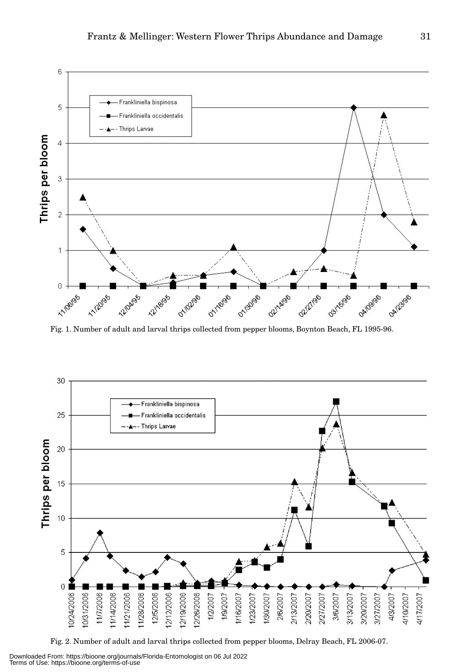

Fig. 1. Number of adult and larval thrips collected from pepper blooms, Boynton Beach, FL 1995-96.



Fig. 2. Number of adult and larval thrips collected from pepper blooms, Delray Beach, FL 2006-07.

Downloaded From: https://bioone.org/journals/Florida-Entomologist on 06 Jul 2022 Terms of Use: https://bioone.org/terms-of-use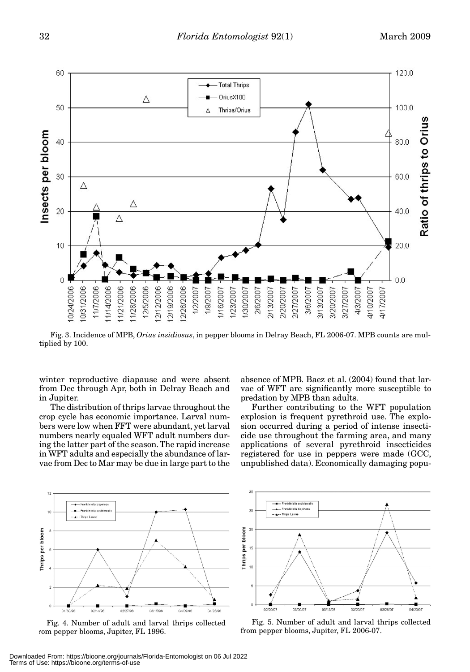

Fig. 3. Incidence of MPB, *Orius insidiosus*, in pepper blooms in Delray Beach, FL 2006-07. MPB counts are multiplied by 100.

winter reproductive diapause and were absent from Dec through Apr, both in Delray Beach and in Jupiter.

The distribution of thrips larvae throughout the crop cycle has economic importance. Larval numbers were low when FFT were abundant, yet larval numbers nearly equaled WFT adult numbers during the latter part of the season. The rapid increase in WFT adults and especially the abundance of larvae from Dec to Mar may be due in large part to the

absence of MPB. Baez et al. (2004) found that larvae of WFT are significantly more susceptible to predation by MPB than adults.

Further contributing to the WFT population explosion is frequent pyrethroid use. The explosion occurred during a period of intense insecticide use throughout the farming area, and many applications of several pyrethroid insecticides registered for use in peppers were made (GCC, unpublished data). Economically damaging popu-



Fig. 4. Number of adult and larval thrips collected rom pepper blooms, Jupiter, FL 1996.



Fig. 5. Number of adult and larval thrips collected from pepper blooms, Jupiter, FL 2006-07.

Downloaded From: https://bioone.org/journals/Florida-Entomologist on 06 Jul 2022 Terms of Use: https://bioone.org/terms-of-use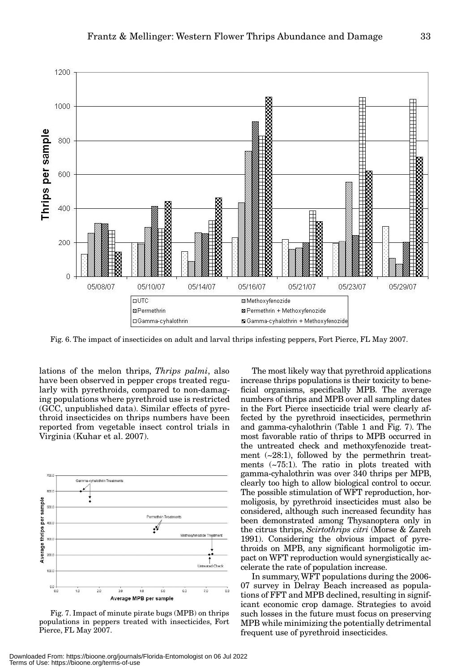

Fig. 6. The impact of insecticides on adult and larval thrips infesting peppers, Fort Pierce, FL May 2007.

lations of the melon thrips, *Thrips palmi*, also have been observed in pepper crops treated regularly with pyrethroids, compared to non-damaging populations where pyrethroid use is restricted (GCC, unpublished data). Similar effects of pyrethroid insecticides on thrips numbers have been reported from vegetable insect control trials in Virginia (Kuhar et al. 2007).



Fig. 7. Impact of minute pirate bugs (MPB) on thrips populations in peppers treated with insecticides, Fort Pierce, FL May 2007.

The most likely way that pyrethroid applications increase thrips populations is their toxicity to beneficial organisms, specifically MPB. The average numbers of thrips and MPB over all sampling dates in the Fort Pierce insecticide trial were clearly affected by the pyrethroid insecticides, permethrin and gamma-cyhalothrin (Table 1 and Fig. 7). The most favorable ratio of thrips to MPB occurred in the untreated check and methoxyfenozide treatment  $(-28:1)$ , followed by the permethrin treatments (~75:1). The ratio in plots treated with gamma-cyhalothrin was over 340 thrips per MPB, clearly too high to allow biological control to occur. The possible stimulation of WFT reproduction, hormoligosis, by pyrethroid insecticides must also be considered, although such increased fecundity has been demonstrated among Thysanoptera only in the citrus thrips, *Scirtothrips citri* (Morse & Zareh 1991). Considering the obvious impact of pyrethroids on MPB, any significant hormoligotic impact on WFT reproduction would synergistically accelerate the rate of population increase.

In summary, WFT populations during the 2006- 07 survey in Delray Beach increased as populations of FFT and MPB declined, resulting in significant economic crop damage. Strategies to avoid such losses in the future must focus on preserving MPB while minimizing the potentially detrimental frequent use of pyrethroid insecticides.